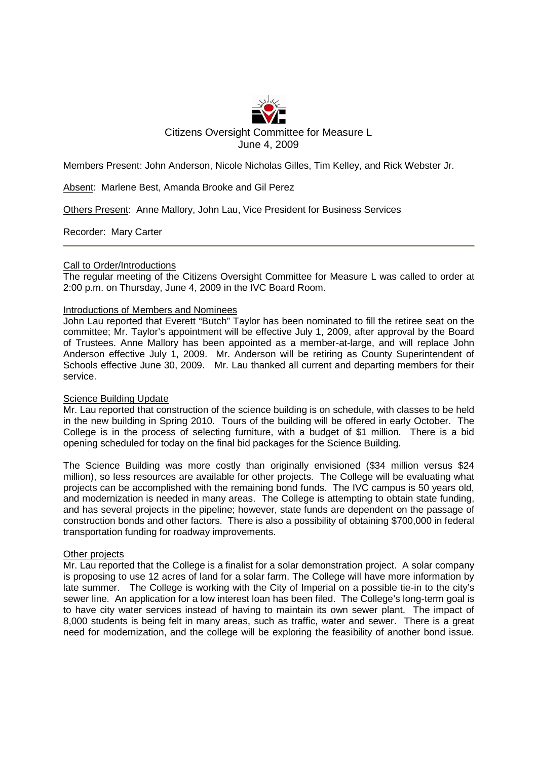

Members Present: John Anderson, Nicole Nicholas Gilles, Tim Kelley, and Rick Webster Jr.

Absent: Marlene Best, Amanda Brooke and Gil Perez

Others Present: Anne Mallory, John Lau, Vice President for Business Services

Recorder: Mary Carter

# Call to Order/Introductions

The regular meeting of the Citizens Oversight Committee for Measure L was called to order at 2:00 p.m. on Thursday, June 4, 2009 in the IVC Board Room.

# Introductions of Members and Nominees

John Lau reported that Everett "Butch" Taylor has been nominated to fill the retiree seat on the committee; Mr. Taylor's appointment will be effective July 1, 2009, after approval by the Board of Trustees. Anne Mallory has been appointed as a member-at-large, and will replace John Anderson effective July 1, 2009. Mr. Anderson will be retiring as County Superintendent of Schools effective June 30, 2009. Mr. Lau thanked all current and departing members for their service.

# Science Building Update

Mr. Lau reported that construction of the science building is on schedule, with classes to be held in the new building in Spring 2010. Tours of the building will be offered in early October. The College is in the process of selecting furniture, with a budget of \$1 million. There is a bid opening scheduled for today on the final bid packages for the Science Building.

The Science Building was more costly than originally envisioned (\$34 million versus \$24 million), so less resources are available for other projects. The College will be evaluating what projects can be accomplished with the remaining bond funds. The IVC campus is 50 years old, and modernization is needed in many areas. The College is attempting to obtain state funding, and has several projects in the pipeline; however, state funds are dependent on the passage of construction bonds and other factors. There is also a possibility of obtaining \$700,000 in federal transportation funding for roadway improvements.

# Other projects

Mr. Lau reported that the College is a finalist for a solar demonstration project. A solar company is proposing to use 12 acres of land for a solar farm. The College will have more information by late summer. The College is working with the City of Imperial on a possible tie-in to the city's sewer line. An application for a low interest loan has been filed. The College's long-term goal is to have city water services instead of having to maintain its own sewer plant. The impact of 8,000 students is being felt in many areas, such as traffic, water and sewer. There is a great need for modernization, and the college will be exploring the feasibility of another bond issue.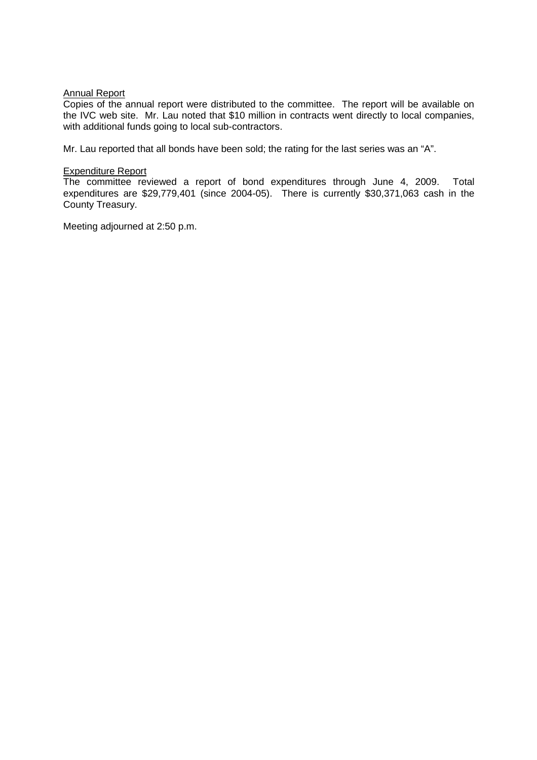# Annual Report

Copies of the annual report were distributed to the committee. The report will be available on the IVC web site. Mr. Lau noted that \$10 million in contracts went directly to local companies, with additional funds going to local sub-contractors.

Mr. Lau reported that all bonds have been sold; the rating for the last series was an "A".

# Expenditure Report

The committee reviewed a report of bond expenditures through June 4, 2009. Total expenditures are \$29,779,401 (since 2004-05). There is currently \$30,371,063 cash in the County Treasury.

Meeting adjourned at 2:50 p.m.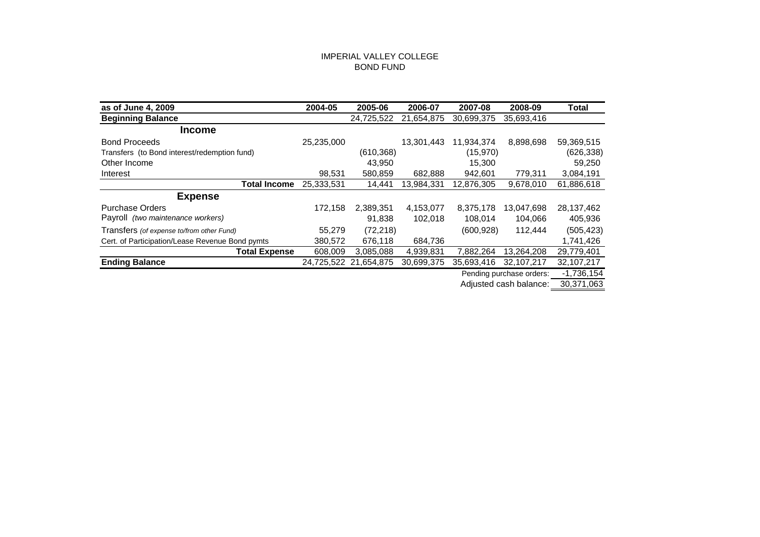## IMPERIAL VALLEY COLLEGE BOND FUND

| as of June 4, 2009                              | 2004-05    | 2005-06               | 2006-07    | 2007-08    | 2008-09                  | <b>Total</b> |
|-------------------------------------------------|------------|-----------------------|------------|------------|--------------------------|--------------|
| <b>Beginning Balance</b>                        |            | 24,725,522            | 21,654,875 | 30,699,375 | 35,693,416               |              |
| <b>Income</b>                                   |            |                       |            |            |                          |              |
| <b>Bond Proceeds</b>                            | 25,235,000 |                       | 13,301,443 | 11,934,374 | 8,898,698                | 59,369,515   |
| Transfers (to Bond interest/redemption fund)    |            | (610, 368)            |            | (15, 970)  |                          | (626, 338)   |
| Other Income                                    |            | 43,950                |            | 15,300     |                          | 59,250       |
| Interest                                        | 98,531     | 580,859               | 682,888    | 942,601    | 779,311                  | 3,084,191    |
| <b>Total Income</b>                             | 25,333,531 | 14,441                | 13,984,331 | 12,876,305 | 9,678,010                | 61,886,618   |
| <b>Expense</b>                                  |            |                       |            |            |                          |              |
| <b>Purchase Orders</b>                          | 172,158    | 2,389,351             | 4,153,077  | 8,375,178  | 13,047,698               | 28, 137, 462 |
| Payroll <i>(two maintenance workers)</i>        |            | 91,838                | 102,018    | 108,014    | 104,066                  | 405,936      |
| Transfers (of expense to/from other Fund)       | 55,279     | (72, 218)             |            | (600, 928) | 112,444                  | (505, 423)   |
| Cert. of Participation/Lease Revenue Bond pymts | 380,572    | 676,118               | 684,736    |            |                          | 1,741,426    |
| <b>Total Expense</b>                            | 608,009    | 3,085,088             | 4,939,831  | 7,882,264  | 13,264,208               | 29,779,401   |
| <b>Ending Balance</b>                           |            | 24,725,522 21,654,875 | 30,699,375 | 35,693,416 | 32,107,217               | 32,107,217   |
|                                                 |            |                       |            |            | Pending purchase orders: | $-1,736,154$ |
|                                                 |            |                       |            |            | Adjusted cash balance:   | 30,371,063   |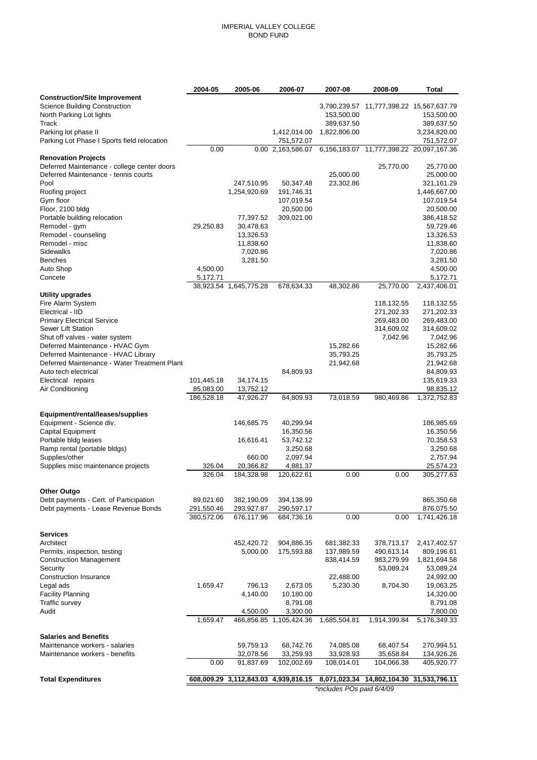### IMPERIAL VALLEY COLLEGE BOND FUND

|                                                | 2004-05    | 2005-06                | 2006-07                   | 2007-08                   | 2008-09                                  | Total                    |
|------------------------------------------------|------------|------------------------|---------------------------|---------------------------|------------------------------------------|--------------------------|
| <b>Construction/Site Improvement</b>           |            |                        |                           |                           |                                          |                          |
| <b>Science Building Construction</b>           |            |                        |                           |                           | 3,790,239.57 11,777,398.22 15,567,637.79 |                          |
| North Parking Lot lights                       |            |                        |                           | 153,500.00                |                                          | 153,500.00               |
| Track                                          |            |                        |                           | 389,637.50                |                                          | 389,637.50               |
| Parking lot phase II                           |            |                        | 1,412,014.00              | 1,822,806.00              |                                          | 3,234,820.00             |
| Parking Lot Phase I Sports field relocation    |            |                        | 751,572.07                |                           | 6,156,183.07 11,777,398.22 20,097,167.36 | 751,572.07               |
| <b>Renovation Projects</b>                     | 0.00       |                        | 0.00 2,163,586.07         |                           |                                          |                          |
| Deferred Maintenance - college center doors    |            |                        |                           |                           | 25,770.00                                | 25,770.00                |
| Deferred Maintenance - tennis courts           |            |                        |                           | 25,000.00                 |                                          | 25,000.00                |
| Pool                                           |            | 247,510.95             | 50,347.48                 | 23,302.86                 |                                          | 321,161.29               |
| Roofing project                                |            | 1,254,920.69           | 191,746.31                |                           |                                          | 1,446,667.00             |
| Gym floor                                      |            |                        | 107,019.54                |                           |                                          | 107,019.54               |
| Floor, 2100 bldg                               |            |                        | 20,500.00                 |                           |                                          | 20,500.00                |
| Portable building relocation                   |            | 77,397.52              | 309,021.00                |                           |                                          | 386,418.52               |
| Remodel - gym                                  | 29,250.83  | 30,478.63              |                           |                           |                                          | 59,729.46                |
| Remodel - counseling                           |            | 13,326.53              |                           |                           |                                          | 13,326.53                |
| Remodel - misc                                 |            | 11,838.60              |                           |                           |                                          | 11,838.60                |
| Sidewalks                                      |            | 7,020.86               |                           |                           |                                          | 7,020.86                 |
| Benches                                        |            | 3,281.50               |                           |                           |                                          | 3,281.50                 |
| Auto Shop                                      | 4,500.00   |                        |                           |                           |                                          | 4,500.00                 |
| Concete                                        | 5,172.71   |                        |                           |                           |                                          | 5,172.71                 |
|                                                |            | 38,923.54 1,645,775.28 | 678,634.33                | 48,302.86                 | 25,770.00                                | 2,437,406.01             |
| <b>Utility upgrades</b>                        |            |                        |                           |                           |                                          |                          |
| Fire Alarm System<br>Electrical - IID          |            |                        |                           |                           | 118,132.55                               | 118,132.55               |
| <b>Primary Electrical Service</b>              |            |                        |                           |                           | 271,202.33<br>269,483.00                 | 271,202.33<br>269,483.00 |
| Sewer Lift Station                             |            |                        |                           |                           | 314,609.02                               | 314,609.02               |
| Shut off valves - water system                 |            |                        |                           |                           | 7,042.96                                 | 7,042.96                 |
| Deferred Maintenance - HVAC Gym                |            |                        |                           | 15,282.66                 |                                          | 15,282.66                |
| Deferred Maintenance - HVAC Library            |            |                        |                           | 35,793.25                 |                                          | 35,793.25                |
| Deferred Maintenance - Water Treatment Plant   |            |                        |                           | 21,942.68                 |                                          | 21,942.68                |
| Auto tech electrical                           |            |                        | 84,809.93                 |                           |                                          | 84,809.93                |
| Electrical repairs                             | 101,445.18 | 34,174.15              |                           |                           |                                          | 135,619.33               |
| Air Conditioning                               | 85,083.00  | 13,752.12              |                           |                           |                                          | 98,835.12                |
|                                                | 186,528.18 | 47,926.27              | 84,809.93                 | 73,018.59                 | 980,469.86                               | 1,372,752.83             |
|                                                |            |                        |                           |                           |                                          |                          |
| Equipment/rental/leases/supplies               |            |                        |                           |                           |                                          |                          |
| Equipment - Science div.                       |            | 146,685.75             | 40,299.94                 |                           |                                          | 186,985.69               |
| Capital Equipment                              |            |                        | 16,350.56                 |                           |                                          | 16,350.56                |
| Portable bldg leases                           |            | 16,616.41              | 53,742.12                 |                           |                                          | 70,358.53                |
| Ramp rental (portable bldgs)<br>Supplies/other |            | 660.00                 | 3,250.68<br>2,097.94      |                           |                                          | 3,250.68<br>2,757.94     |
| Supplies misc maintenance projects             | 326.04     | 20,366.82              | 4,881.37                  |                           |                                          | 25,574.23                |
|                                                | 326.04     | 184,328.98             | 120,622.61                | 0.00                      | 0.00                                     | 305,277.63               |
|                                                |            |                        |                           |                           |                                          |                          |
| <b>Other Outgo</b>                             |            |                        |                           |                           |                                          |                          |
| Debt payments - Cert. of Participation         | 89,021.60  | 382,190.09             | 394,138.99                |                           |                                          | 865,350.68               |
| Debt payments - Lease Revenue Bonds            | 291,550.46 | 293,927.87             | 290,597.17                |                           |                                          | 876,075.50               |
|                                                | 380,572.06 | 676,117.96             | 684,736.16                | 0.00                      | 0.00                                     | 1,741,426.18             |
|                                                |            |                        |                           |                           |                                          |                          |
| Services                                       |            |                        |                           |                           |                                          |                          |
| Architect                                      |            | 452,420.72             | 904,886.35                | 681,382.33                | 378,713.17                               | 2,417,402.57             |
| Permits, inspection, testing                   |            | 5,000.00               | 175,593.88                | 137,989.59                | 490,613.14                               | 809,196.61               |
| <b>Construction Management</b>                 |            |                        |                           | 838,414.59                | 983,279.99                               | 1,821,694.58             |
| Security                                       |            |                        |                           |                           | 53,089.24                                | 53,089.24                |
| Construction Insurance                         |            |                        |                           | 22,488.00                 |                                          | 24,992.00                |
| Legal ads                                      | 1,659.47   | 796.13                 | 2,673.05                  | 5,230.30                  | 8,704.30                                 | 19,063.25                |
| Facility Planning                              |            | 4,140.00               | 10,180.00                 |                           |                                          | 14,320.00                |
| Traffic survey<br>Audit                        |            |                        | 8,791.08<br>3,300.00      |                           |                                          | 8,791.08<br>7,800.00     |
|                                                | 1,659.47   | 4,500.00               | 466,856.85 1,105,424.36   | 1,685,504.81              | 1,914,399.84                             | 5,176,349.33             |
|                                                |            |                        |                           |                           |                                          |                          |
| <b>Salaries and Benefits</b>                   |            |                        |                           |                           |                                          |                          |
| Maintenance workers - salaries                 |            | 59,759.13              | 68,742.76                 | 74,085.08                 | 68,407.54                                | 270,994.51               |
| Maintenance workers - benefits                 |            | 32,078.56              | 33,259.93                 | 33,928.93                 | 35,658.84                                | 134,926.26               |
|                                                | 0.00       | 91,837.69              | 102,002.69                | 108,014.01                | 104,066.38                               | 405,920.77               |
|                                                |            |                        |                           |                           |                                          |                          |
| <b>Total Expenditures</b>                      | 608,009.29 |                        | 3,112,843.03 4,939,816.15 | 8,071,023.34              | 14,802,104.30                            | 31,533,796.11            |
|                                                |            |                        |                           | *includes POs paid 6/4/09 |                                          |                          |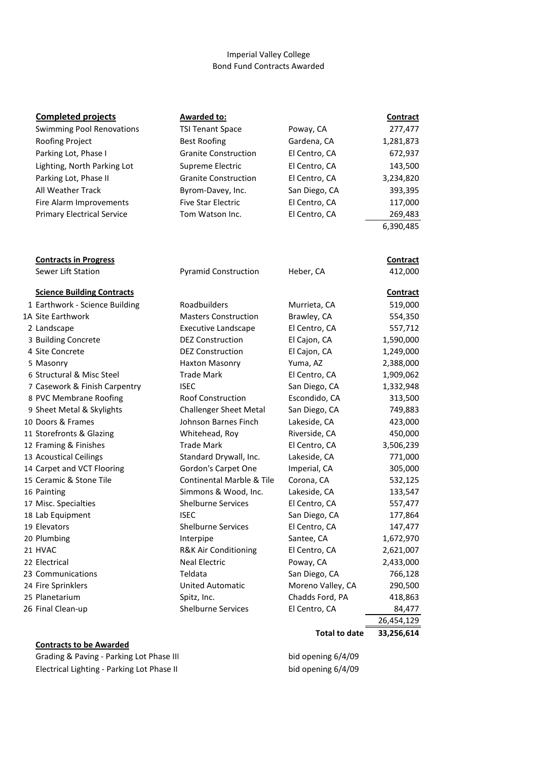# Imperial Valley College Bond Fund Contracts Awarded

| <b>Completed projects</b>         | <b>Awarded to:</b>                   |                      | <b>Contract</b> |
|-----------------------------------|--------------------------------------|----------------------|-----------------|
| <b>Swimming Pool Renovations</b>  | <b>TSI Tenant Space</b>              | Poway, CA            | 277,477         |
| Roofing Project                   | <b>Best Roofing</b>                  | Gardena, CA          | 1,281,873       |
| Parking Lot, Phase I              | <b>Granite Construction</b>          | El Centro, CA        | 672,937         |
| Lighting, North Parking Lot       | Supreme Electric                     | El Centro, CA        | 143,500         |
| Parking Lot, Phase II             | <b>Granite Construction</b>          | El Centro, CA        | 3,234,820       |
| <b>All Weather Track</b>          | Byrom-Davey, Inc.                    | San Diego, CA        | 393,395         |
| Fire Alarm Improvements           | <b>Five Star Electric</b>            | El Centro, CA        | 117,000         |
| <b>Primary Electrical Service</b> | Tom Watson Inc.                      | El Centro, CA        | 269,483         |
|                                   |                                      |                      | 6,390,485       |
|                                   |                                      |                      |                 |
| <b>Contracts in Progress</b>      |                                      |                      | <b>Contract</b> |
| Sewer Lift Station                | <b>Pyramid Construction</b>          | Heber, CA            | 412,000         |
| <b>Science Building Contracts</b> |                                      |                      | Contract        |
| 1 Earthwork - Science Building    | Roadbuilders                         | Murrieta, CA         | 519,000         |
| 1A Site Earthwork                 | <b>Masters Construction</b>          | Brawley, CA          | 554,350         |
| 2 Landscape                       | <b>Executive Landscape</b>           | El Centro, CA        | 557,712         |
| 3 Building Concrete               | <b>DEZ Construction</b>              | El Cajon, CA         | 1,590,000       |
| 4 Site Concrete                   | <b>DEZ Construction</b>              | El Cajon, CA         | 1,249,000       |
| 5 Masonry                         | Haxton Masonry                       | Yuma, AZ             | 2,388,000       |
| 6 Structural & Misc Steel         | <b>Trade Mark</b>                    | El Centro, CA        | 1,909,062       |
| 7 Casework & Finish Carpentry     | <b>ISEC</b>                          | San Diego, CA        | 1,332,948       |
| 8 PVC Membrane Roofing            | <b>Roof Construction</b>             | Escondido, CA        | 313,500         |
| 9 Sheet Metal & Skylights         | <b>Challenger Sheet Metal</b>        | San Diego, CA        | 749,883         |
| 10 Doors & Frames                 | Johnson Barnes Finch                 | Lakeside, CA         | 423,000         |
| 11 Storefronts & Glazing          | Whitehead, Roy                       | Riverside, CA        | 450,000         |
| 12 Framing & Finishes             | <b>Trade Mark</b>                    | El Centro, CA        | 3,506,239       |
| 13 Acoustical Ceilings            | Standard Drywall, Inc.               | Lakeside, CA         | 771,000         |
| 14 Carpet and VCT Flooring        | Gordon's Carpet One                  | Imperial, CA         | 305,000         |
| 15 Ceramic & Stone Tile           | <b>Continental Marble &amp; Tile</b> | Corona, CA           | 532,125         |
| 16 Painting                       | Simmons & Wood, Inc.                 | Lakeside, CA         | 133,547         |
| 17 Misc. Specialties              | <b>Shelburne Services</b>            | El Centro, CA        | 557,477         |
| 18 Lab Equipment                  | <b>ISEC</b>                          | San Diego, CA        | 177,864         |
| 19 Elevators                      | <b>Shelburne Services</b>            | El Centro, CA        | 147,477         |
| 20 Plumbing                       | Interpipe                            | Santee, CA           | 1,672,970       |
| 21 HVAC                           | R&K Air Conditioning                 | El Centro, CA        | 2,621,007       |
| 22 Electrical                     | <b>Neal Electric</b>                 | Poway, CA            | 2,433,000       |
| 23 Communications                 | Teldata                              | San Diego, CA        | 766,128         |
| 24 Fire Sprinklers                | <b>United Automatic</b>              | Moreno Valley, CA    | 290,500         |
| 25 Planetarium                    | Spitz, Inc.                          | Chadds Ford, PA      | 418,863         |
| 26 Final Clean-up                 | <b>Shelburne Services</b>            | El Centro, CA        | 84,477          |
|                                   |                                      |                      | 26,454,129      |
|                                   |                                      | <b>Total to date</b> | 33,256,614      |
| <b>Contracts to be Awarded</b>    |                                      |                      |                 |

Grading & Paving - Parking Lot Phase III bid opening 6/4/09 Electrical Lighting - Parking Lot Phase II bid opening 6/4/09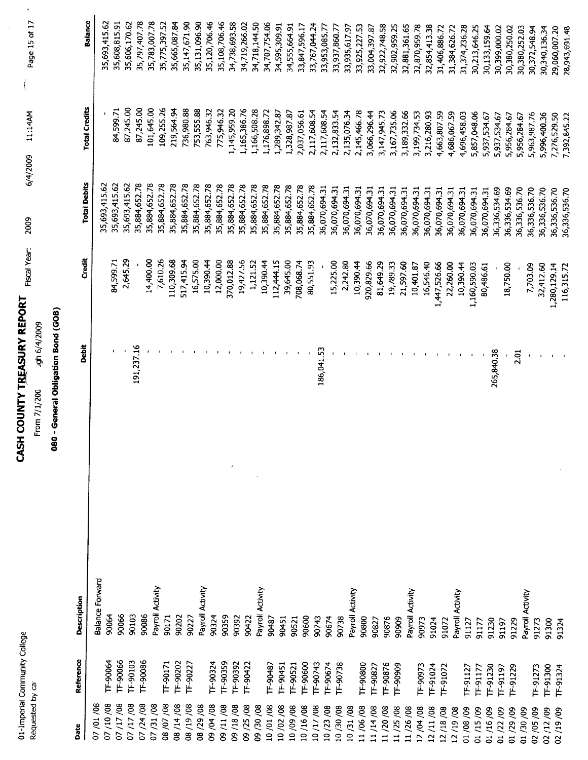| Commo<br>ũ<br>d | ئ<br>é<br>$\frac{a}{1}$ |
|-----------------|-------------------------|
| J,              |                         |

# **CASH COUNTY TREASURY REPORT** Fiscal Year: 2009

Page 15 of 17  $\Big($ 6/4/2009 11:14AM

From 7/1/200 sgh 6/4/2009

# 080 - General Obligation Bond (GOB)

| Date     | Reference      | Description               | Debit      | 青さ           | <b>Total Debits</b> | <b>Total Credits</b> | Balance       |
|----------|----------------|---------------------------|------------|--------------|---------------------|----------------------|---------------|
| 07/01/08 |                | <b>Balance Forward</b>    |            |              |                     |                      |               |
| 07/10/08 | TF-90064       | 90064                     |            |              | 35,693,415.62       |                      | 35,693,415.62 |
| 07/17/08 | TF-90066       | 90066                     |            | 84,599.71    | 35,693,415.62       | 84,599.71            | 35,608,815.91 |
| 07/17/08 | TF-90103       | 90103                     |            | 2,645.29     | 35,693,415.62       | 87,245.00            | 35,606,170.62 |
| 07/24/08 | TF-90086       | 90086                     | 191,237.16 |              | 35,884,652.78       | 87,245.00            | 35,797,407.78 |
| 07/31/08 |                | Payroll Activity          |            | 14,400.00    | 35,884,652.78       | 101,645.00           | 35,783,007.78 |
| 08/07/08 | TF-90171       | 90171                     |            | 7,610.26     | 35,884,652.78       | 109,255.26           | 35,775,397.52 |
| 08/14/08 | T-90202        | 90202                     |            | 110,309.68   | 35,884,652.78       | 219,564.94           | 35,665,087.84 |
| 80/61/80 | TF-90227       | 90227                     |            | 517,415.94   | 35,884,652.78       | 736,980.88           | 35,147,671.90 |
| 08/29/08 |                | Payroll Activity          |            | 16,575.00    | 35,884,652.78       | 753,555.88           | 35,131,096.90 |
| 09/04/08 | TF-90324       | 90324                     |            | 10,390.44    | 35,884,652.78       | 763,946.32           | 35,120,706.46 |
| 09/11/08 | IF-90359       | 90359                     |            | 12,000.00    | 35,884,652.78       | 775,946.32           | 35,108,706.46 |
| 09/18/08 | TF-90392       | t,<br>90392               |            | 370,012.88   | 35,884,652.78       | 1,145,959.20         | 34,738,693.58 |
| 09/25/08 | TF-90422       | 90422                     |            | 19,427.56    | 35,884,652.78       | 1,165,386.76         | 34,719,266.02 |
| 09/30/08 |                |                           |            | 1,121.52     | 35,884,652.78       | 1,166,508.28         | 34,718,144.50 |
| 10/01/08 | TF-90487       | Payroll Activity<br>90487 |            | 10,390.44    | 35,884,652.78       | 1,176,898.72         | 34,707,754.06 |
| 10/02/08 | TF-90451       | 90451                     |            | 112,444.15   | 35,884,652.78       | 1,289,342.87         | 34,595,309.91 |
| 10/09/08 | IF-90521       | 90521                     |            | 39,645.00    | 35,884,652.78       | 1,328,987.87         | 34,555,664.91 |
| 10/16/08 | F-90600        | 90600                     |            | 708,068.74   | 35,884,652.78       | 2,037,056.61         | 33,847,596.17 |
| 10/17/08 | F-90743        | 90743                     |            | 80,551.93    | 35,884,652.78       | 2,117,608.54         | 33,767,044.24 |
| 10/23/08 | F-90674        | 90674                     | 186,041.53 |              | 36,070,694.31       | 2,117,608.54         | 33,953,085.77 |
| 10/30/08 | TF-90738       |                           |            | 15,225.00    | 36,070,694.31       | 2,132,833.54         | 33,937,860.7  |
| 10/31/08 |                | Payroll Activity<br>90738 |            | 2,242.80     | 36,070,694.31       | 2,135,076.34         | 33,935,617.97 |
| 11/06/08 | TF-90800       | 90800                     |            | 10,390.44    | 36,070,694.31       | 2,145,466.78         | 33,925,227.53 |
| 11/14/08 | TF-90827       | 90827                     |            | 920,829.66   | 36,070,694.31       | 3,066,296.44         | 33,004,397.87 |
| 11/20/08 | TF-90876       | 90876                     |            | 81,649.29    | 36,070,694.31       | 3,147,945.73         | 32,922,748.58 |
| 11/25/08 | TF-90909       | 90909                     |            | 19,789.33    | 36,070,694.31       | 3,167,735.06         | 32,902,959.25 |
| 11/26/08 |                | Payroll Activity          |            | 21,597.60    | 36,070,694.31       | 3,189,332.66         | 32,881,361.65 |
| 12/04/08 | TF-90973       | 90973                     |            | 10,401.87    | 36,070,694.31       | 3,199,734.53         | 32,870,959.78 |
| 12/11/08 | TF-91024       | 91024                     |            | 16,546.40    | 36,070,694.31       | 3,216,280.93         | 32,854,413.38 |
| 12/18/08 | TF-91072       | 91072                     |            | 1,447,526.66 | 36,070,694.31       | 4,663,807.59         | 31,406,886.72 |
| 12/19/08 |                | Payroll Activity          |            | 22,260.00    | 36,070,694.31       | 4,686,067.59         | 31,384,626.72 |
| 01/08/09 | TF-91127       | 91127                     |            | 10,390.44    | 36,070,694.31       | 4,696,458.03         | 31,374,236.28 |
| 01/15/09 | T-91177        | 91177                     |            | 1,160,590.03 | 36,070,694.31       | 5,857,048.06         | 30,213,646.25 |
| 01/16/09 | TF-91230       | 91230                     |            | 80,486.61    | 36,070,694.31       | 5,937,534.67         | 30,133,159.64 |
| 01/22/09 | TF-91197       | 91197                     | 265,840.38 |              | 36,336,534.69       | 5,937,534.67         | 30,399,000.02 |
| 01/29/09 | <b>F-91229</b> | 91229                     |            | 18,750.00    | 36,336,534.69       | 5,956,284.67         | 30,380,250.02 |
| 01/30/09 |                | Payroll Activity          | 2.01       |              | 36,336,536.70       | 5,956,284.67         | 30,380,252.03 |
| 02/05/09 | TF-91273       | 91273                     |            | 7,703.09     | 36,336,536.70       | 5,963,987.76         | 30,372,548.94 |
| 02/12/09 | TF-91300       | 91300                     |            | 32,412.60    | 36,336,536.70       | 5,996,400.36         | 30,340,136.34 |
| 02/19/09 | TF-91324       |                           |            | 1,280,129.14 | 36,336,536.70       | 7,276,529.50         | 29,060,007.20 |
|          |                | 91324                     |            | 116,315.72   | 36,336,536.70       | 7,392,845.22         | 28,943,691.48 |